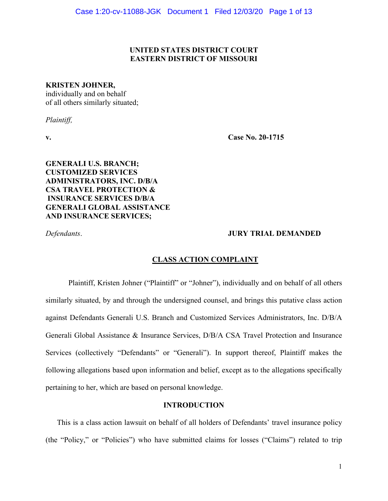# **UNITED STATES DISTRICT COURT EASTERN DISTRICT OF MISSOURI**

### **KRISTEN JOHNER,**

individually and on behalf of all others similarly situated;

*Plaintiff,*

**v. Case No. 20-1715**

**GENERALI U.S. BRANCH; CUSTOMIZED SERVICES ADMINISTRATORS, INC. D/B/A CSA TRAVEL PROTECTION & INSURANCE SERVICES D/B/A GENERALI GLOBAL ASSISTANCE AND INSURANCE SERVICES;** 

# *Defendants*. **JURY TRIAL DEMANDED**

# **CLASS ACTION COMPLAINT**

Plaintiff, Kristen Johner ("Plaintiff" or "Johner"), individually and on behalf of all others similarly situated, by and through the undersigned counsel, and brings this putative class action against Defendants Generali U.S. Branch and Customized Services Administrators, Inc. D/B/A Generali Global Assistance & Insurance Services, D/B/A CSA Travel Protection and Insurance Services (collectively "Defendants" or "Generali"). In support thereof, Plaintiff makes the following allegations based upon information and belief, except as to the allegations specifically pertaining to her, which are based on personal knowledge.

## **INTRODUCTION**

This is a class action lawsuit on behalf of all holders of Defendants' travel insurance policy (the "Policy," or "Policies") who have submitted claims for losses ("Claims") related to trip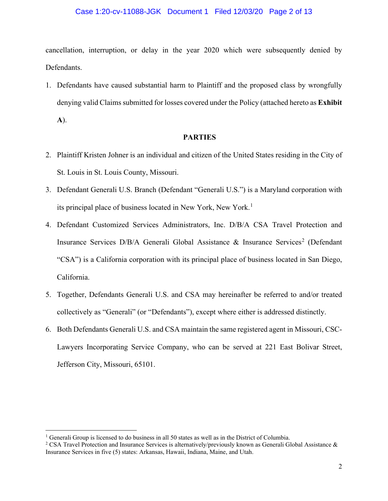#### Case 1:20-cv-11088-JGK Document 1 Filed 12/03/20 Page 2 of 13

cancellation, interruption, or delay in the year 2020 which were subsequently denied by Defendants.

1. Defendants have caused substantial harm to Plaintiff and the proposed class by wrongfully denying valid Claims submitted for losses covered under the Policy (attached hereto as **Exhibit A**).

# **PARTIES**

- 2. Plaintiff Kristen Johner is an individual and citizen of the United States residing in the City of St. Louis in St. Louis County, Missouri.
- 3. Defendant Generali U.S. Branch (Defendant "Generali U.S.") is a Maryland corporation with its principal place of business located in New York, New York.<sup>[1](#page-1-0)</sup>
- 4. Defendant Customized Services Administrators, Inc. D/B/A CSA Travel Protection and Insurance Services  $D/B/A$  Generali Global Assistance & Insurance Services<sup>[2](#page-1-1)</sup> (Defendant "CSA") is a California corporation with its principal place of business located in San Diego, California.
- 5. Together, Defendants Generali U.S. and CSA may hereinafter be referred to and/or treated collectively as "Generali" (or "Defendants"), except where either is addressed distinctly.
- 6. Both Defendants Generali U.S. and CSA maintain the same registered agent in Missouri, CSC-Lawyers Incorporating Service Company, who can be served at 221 East Bolivar Street, Jefferson City, Missouri, 65101.

<span id="page-1-0"></span><sup>&</sup>lt;sup>1</sup> Generali Group is licensed to do business in all 50 states as well as in the District of Columbia.

<span id="page-1-1"></span><sup>&</sup>lt;sup>2</sup> CSA Travel Protection and Insurance Services is alternatively/previously known as Generali Global Assistance  $\&$ Insurance Services in five (5) states: Arkansas, Hawaii, Indiana, Maine, and Utah.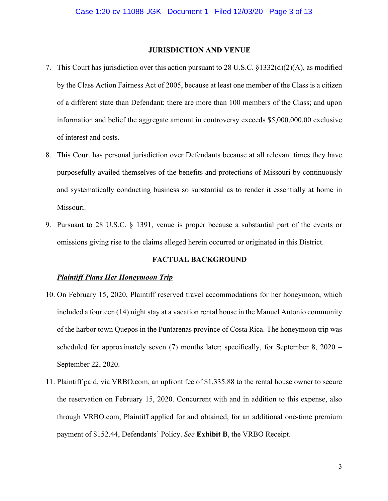#### **JURISDICTION AND VENUE**

- 7. This Court has jurisdiction over this action pursuant to 28 U.S.C. §1332(d)(2)(A), as modified by the Class Action Fairness Act of 2005, because at least one member of the Class is a citizen of a different state than Defendant; there are more than 100 members of the Class; and upon information and belief the aggregate amount in controversy exceeds \$5,000,000.00 exclusive of interest and costs.
- 8. This Court has personal jurisdiction over Defendants because at all relevant times they have purposefully availed themselves of the benefits and protections of Missouri by continuously and systematically conducting business so substantial as to render it essentially at home in Missouri.
- 9. Pursuant to 28 U.S.C. § 1391, venue is proper because a substantial part of the events or omissions giving rise to the claims alleged herein occurred or originated in this District.

### **FACTUAL BACKGROUND**

#### *Plaintiff Plans Her Honeymoon Trip*

- 10. On February 15, 2020, Plaintiff reserved travel accommodations for her honeymoon, which included a fourteen (14) night stay at a vacation rental house in the Manuel Antonio community of the harbor town Quepos in the Puntarenas province of Costa Rica. The honeymoon trip was scheduled for approximately seven (7) months later; specifically, for September 8, 2020 – September 22, 2020.
- 11. Plaintiff paid, via VRBO.com, an upfront fee of \$1,335.88 to the rental house owner to secure the reservation on February 15, 2020. Concurrent with and in addition to this expense, also through VRBO.com, Plaintiff applied for and obtained, for an additional one-time premium payment of \$152.44, Defendants' Policy. *See* **Exhibit B**, the VRBO Receipt.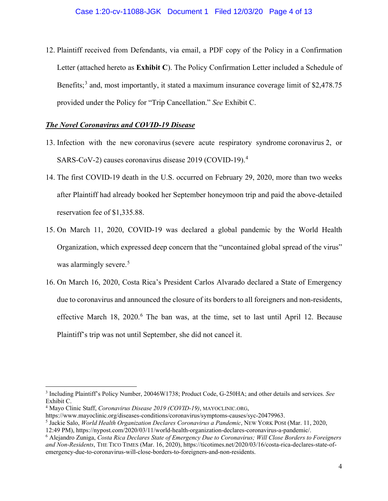12. Plaintiff received from Defendants, via email, a PDF copy of the Policy in a Confirmation Letter (attached hereto as **Exhibit C**). The Policy Confirmation Letter included a Schedule of Benefits;<sup>[3](#page-3-0)</sup> and, most importantly, it stated a maximum insurance coverage limit of \$2,478.75 provided under the Policy for "Trip Cancellation." *See* Exhibit C.

# *The Novel Coronavirus and COVID-19 Disease*

- 13. Infection with the new coronavirus (severe acute respiratory syndrome coronavirus 2, or SARS-CoV-2) causes coronavirus disease 2019 (COVID-19).<sup>[4](#page-3-1)</sup>
- 14. The first COVID-19 death in the U.S. occurred on February 29, 2020, more than two weeks after Plaintiff had already booked her September honeymoon trip and paid the above-detailed reservation fee of \$1,335.88.
- 15. On March 11, 2020, COVID-19 was declared a global pandemic by the World Health Organization, which expressed deep concern that the "uncontained global spread of the virus" was alarmingly severe.<sup>[5](#page-3-2)</sup>
- 16. On March 16, 2020, Costa Rica's President Carlos Alvarado declared a State of Emergency due to coronavirus and announced the closure of its borders to all foreigners and non-residents, effective March 18, 2020.<sup>[6](#page-3-3)</sup> The ban was, at the time, set to last until April 12. Because Plaintiff's trip was not until September, she did not cancel it.

<span id="page-3-0"></span><sup>3</sup> Including Plaintiff's Policy Number, 20046W1738; Product Code, G-250HA; and other details and services. *See*  Exhibit C.

<span id="page-3-1"></span><sup>4</sup> Mayo Clinic Staff, *Coronavirus Disease 2019 (COVID-19)*, MAYOCLINIC.ORG,

https://www.mayoclinic.org/diseases-conditions/coronavirus/symptoms-causes/syc-20479963. 5 Jackie Salo, *World Health Organization Declares Coronavirus a Pandemic*, NEW YORK POSt (Mar. 11, 2020,

<span id="page-3-2"></span>

<sup>12:49</sup> PM), https://nypost.com/2020/03/11/world-health-organization-declares-coronavirus-a-pandemic/. 6 Alejandro Zuniga, *Costa Rica Declares State of Emergency Due to Coronavirus; Will Close Borders to Foreigners* 

<span id="page-3-3"></span>*and Non-Residents*, THE TICO TIMES (Mar. 16, 2020), https://ticotimes.net/2020/03/16/costa-rica-declares-state-ofemergency-due-to-coronavirus-will-close-borders-to-foreigners-and-non-residents.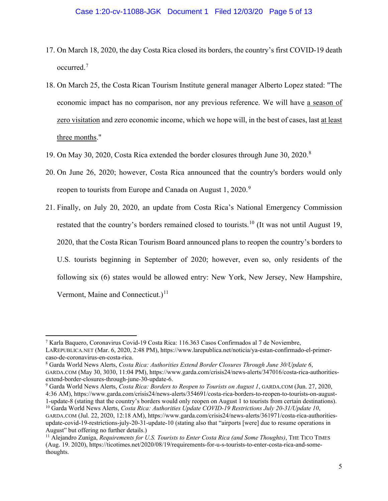- 17. On March 18, 2020, the day Costa Rica closed its borders, the country's first COVID-19 death occurred.[7](#page-4-0)
- 18. On March 25, the Costa Rican Tourism Institute general manager Alberto Lopez stated: "The economic impact has no comparison, nor any previous reference. We will have a season of zero visitation and zero economic income, which we hope will, in the best of cases, last at least three months."
- 19. On May 30, 2020, Costa Rica extended the border closures through June 30, 2020.[8](#page-4-1)
- 20. On June 26, 2020; however, Costa Rica announced that the country's borders would only reopen to tourists from Europe and Canada on August 1, 2020.<sup>[9](#page-4-2)</sup>
- 21. Finally, on July 20, 2020, an update from Costa Rica's National Emergency Commission restated that the country's borders remained closed to tourists.<sup>[10](#page-4-3)</sup> (It was not until August 19, 2020, that the Costa Rican Tourism Board announced plans to reopen the country's borders to U.S. tourists beginning in September of 2020; however, even so, only residents of the following six (6) states would be allowed entry: New York, New Jersey, New Hampshire, Vermont, Maine and Connecticut.)<sup>[11](#page-4-4)</sup>

<span id="page-4-2"></span>4:36 AM), https://www.garda.com/crisis24/news-alerts/354691/costa-rica-borders-to-reopen-to-tourists-on-august-1-update-8 (stating that the country's borders would only reopen on August 1 to tourists from certain destinations).

<span id="page-4-0"></span><sup>7</sup> Karla Baquero, Coronavirus Covid-19 Costa Rica: 116.363 Casos Confirmados al 7 de Noviembre, LAREPUBLICA.NET (Mar. 6, 2020, 2:48 PM), https://www.larepublica.net/noticia/ya-estan-confirmado-el-primercaso-de-coronavirus-en-costa-rica.<br><sup>8</sup> Garda World News Alerts, *Costa Rica: Authorities Extend Border Closures Through June 30/Update 6*,

<span id="page-4-1"></span>GARDA.COM (May 30, 3030, 11:04 PM), https://www.garda.com/crisis24/news-alerts/347016/costa-rica-authoritiesextend-border-closures-through-june-30-update-6.<br><sup>9</sup> Garda World News Alerts, *Costa Rica: Borders to Reopen to Tourists on August 1*, GARDA.COM (Jun. 27, 2020,

<span id="page-4-3"></span><sup>10</sup> Garda World News Alerts, *Costa Rica: Authorities Update COVID-19 Restrictions July 20-31/Update 10*, GARDA.COM (Jul. 22, 2020, 12:18 AM), https://www.garda.com/crisis24/news-alerts/361971/costa-rica-authoritiesupdate-covid-19-restrictions-july-20-31-update-10 (stating also that "airports [were] due to resume operations in August" but offering no further details.)

<span id="page-4-4"></span><sup>&</sup>lt;sup>11</sup> Alejandro Zuniga, *Requirements for U.S. Tourists to Enter Costa Rica (and Some Thoughts)*, THE TICO TIMES (Aug. 19. 2020), https://ticotimes.net/2020/08/19/requirements-for-u-s-tourists-to-enter-costa-rica-and-somethoughts.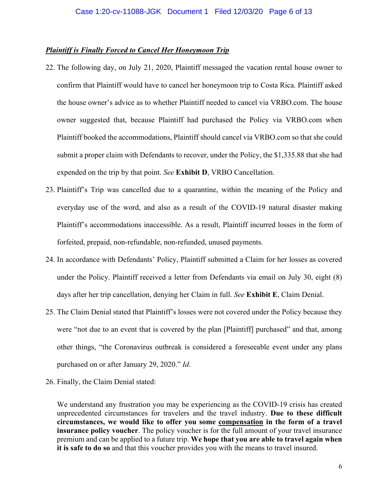## *Plaintiff is Finally Forced to Cancel Her Honeymoon Trip*

- 22. The following day, on July 21, 2020, Plaintiff messaged the vacation rental house owner to confirm that Plaintiff would have to cancel her honeymoon trip to Costa Rica. Plaintiff asked the house owner's advice as to whether Plaintiff needed to cancel via VRBO.com. The house owner suggested that, because Plaintiff had purchased the Policy via VRBO.com when Plaintiff booked the accommodations, Plaintiff should cancel via VRBO.com so that she could submit a proper claim with Defendants to recover, under the Policy, the \$1,335.88 that she had expended on the trip by that point. *See* **Exhibit D**, VRBO Cancellation.
- 23. Plaintiff's Trip was cancelled due to a quarantine, within the meaning of the Policy and everyday use of the word, and also as a result of the COVID-19 natural disaster making Plaintiff's accommodations inaccessible. As a result, Plaintiff incurred losses in the form of forfeited, prepaid, non-refundable, non-refunded, unused payments.
- 24. In accordance with Defendants' Policy, Plaintiff submitted a Claim for her losses as covered under the Policy. Plaintiff received a letter from Defendants via email on July 30, eight (8) days after her trip cancellation, denying her Claim in full. *See* **Exhibit E**, Claim Denial.
- 25. The Claim Denial stated that Plaintiff's losses were not covered under the Policy because they were "not due to an event that is covered by the plan [Plaintiff] purchased" and that, among other things, "the Coronavirus outbreak is considered a foreseeable event under any plans purchased on or after January 29, 2020." *Id*.
- 26. Finally, the Claim Denial stated:

We understand any frustration you may be experiencing as the COVID-19 crisis has created unprecedented circumstances for travelers and the travel industry. **Due to these difficult circumstances, we would like to offer you some compensation in the form of a travel insurance policy voucher**. The policy voucher is for the full amount of your travel insurance premium and can be applied to a future trip. **We hope that you are able to travel again when it is safe to do so** and that this voucher provides you with the means to travel insured.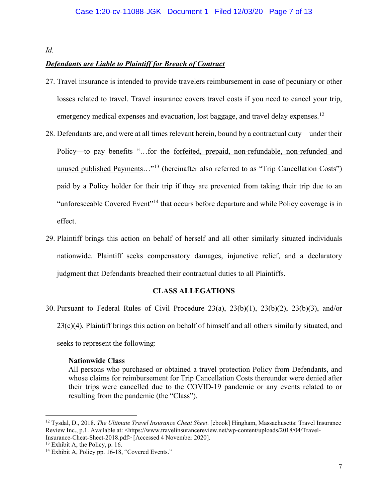# *Id.*

# *Defendants are Liable to Plaintiff for Breach of Contract*

- 27. Travel insurance is intended to provide travelers reimbursement in case of pecuniary or other losses related to travel. Travel insurance covers travel costs if you need to cancel your trip, emergency medical expenses and evacuation, lost baggage, and travel delay expenses.<sup>[12](#page-6-0)</sup>
- 28. Defendants are, and were at all times relevant herein, bound by a contractual duty—under their Policy—to pay benefits "…for the forfeited, prepaid, non-refundable, non-refunded and unused published Payments..."<sup>[13](#page-6-1)</sup> (hereinafter also referred to as "Trip Cancellation Costs") paid by a Policy holder for their trip if they are prevented from taking their trip due to an "unforeseeable Covered Event"[14](#page-6-2) that occurs before departure and while Policy coverage is in effect.
- 29. Plaintiff brings this action on behalf of herself and all other similarly situated individuals nationwide. Plaintiff seeks compensatory damages, injunctive relief, and a declaratory judgment that Defendants breached their contractual duties to all Plaintiffs.

# **CLASS ALLEGATIONS**

30. Pursuant to Federal Rules of Civil Procedure 23(a), 23(b)(1), 23(b)(2), 23(b)(3), and/or

 $23(c)(4)$ , Plaintiff brings this action on behalf of himself and all others similarly situated, and

seeks to represent the following:

## **Nationwide Class**

All persons who purchased or obtained a travel protection Policy from Defendants, and whose claims for reimbursement for Trip Cancellation Costs thereunder were denied after their trips were cancelled due to the COVID-19 pandemic or any events related to or resulting from the pandemic (the "Class").

<span id="page-6-0"></span><sup>12</sup> Tysdal, D., 2018. *The Ultimate Travel Insurance Cheat Sheet*. [ebook] Hingham, Massachusetts: Travel Insurance Review Inc., p.1. Available at: <https://www.travelinsurancereview.net/wp-content/uploads/2018/04/Travel-Insurance-Cheat-Sheet-2018.pdf> [Accessed 4 November 2020].

<span id="page-6-1"></span> $13$  Exhibit A, the Policy, p. 16.

<span id="page-6-2"></span><sup>&</sup>lt;sup>14</sup> Exhibit A, Policy pp. 16-18, "Covered Events."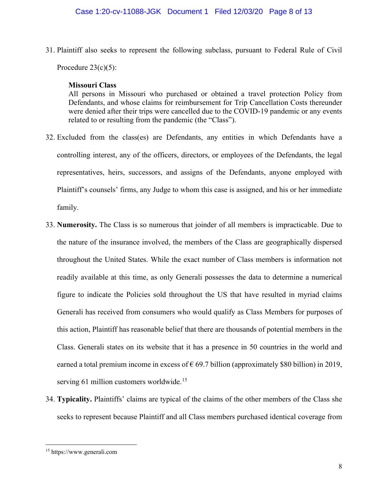31. Plaintiff also seeks to represent the following subclass, pursuant to Federal Rule of Civil Procedure  $23(c)(5)$ :

## **Missouri Class**

All persons in Missouri who purchased or obtained a travel protection Policy from Defendants, and whose claims for reimbursement for Trip Cancellation Costs thereunder were denied after their trips were cancelled due to the COVID-19 pandemic or any events related to or resulting from the pandemic (the "Class").

- 32. Excluded from the class(es) are Defendants, any entities in which Defendants have a controlling interest, any of the officers, directors, or employees of the Defendants, the legal representatives, heirs, successors, and assigns of the Defendants, anyone employed with Plaintiff's counsels' firms, any Judge to whom this case is assigned, and his or her immediate family.
- 33. **Numerosity.** The Class is so numerous that joinder of all members is impracticable. Due to the nature of the insurance involved, the members of the Class are geographically dispersed throughout the United States. While the exact number of Class members is information not readily available at this time, as only Generali possesses the data to determine a numerical figure to indicate the Policies sold throughout the US that have resulted in myriad claims Generali has received from consumers who would qualify as Class Members for purposes of this action, Plaintiff has reasonable belief that there are thousands of potential members in the Class. Generali states on its website that it has a presence in 50 countries in the world and earned a total premium income in excess of  $\epsilon$  69.7 billion (approximately \$80 billion) in 2019, serving 61 million customers worldwide.<sup>[15](#page-7-0)</sup>
- 34. **Typicality.** Plaintiffs' claims are typical of the claims of the other members of the Class she seeks to represent because Plaintiff and all Class members purchased identical coverage from

<span id="page-7-0"></span><sup>15</sup> https://www.generali.com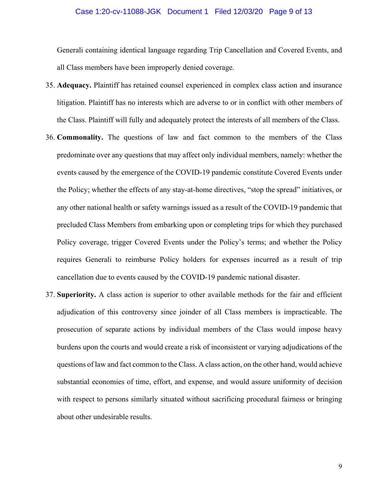#### Case 1:20-cv-11088-JGK Document 1 Filed 12/03/20 Page 9 of 13

Generali containing identical language regarding Trip Cancellation and Covered Events, and all Class members have been improperly denied coverage.

- 35. **Adequacy.** Plaintiff has retained counsel experienced in complex class action and insurance litigation. Plaintiff has no interests which are adverse to or in conflict with other members of the Class. Plaintiff will fully and adequately protect the interests of all members of the Class.
- 36. **Commonality.** The questions of law and fact common to the members of the Class predominate over any questions that may affect only individual members, namely: whether the events caused by the emergence of the COVID-19 pandemic constitute Covered Events under the Policy; whether the effects of any stay-at-home directives, "stop the spread" initiatives, or any other national health or safety warnings issued as a result of the COVID-19 pandemic that precluded Class Members from embarking upon or completing trips for which they purchased Policy coverage, trigger Covered Events under the Policy's terms; and whether the Policy requires Generali to reimburse Policy holders for expenses incurred as a result of trip cancellation due to events caused by the COVID-19 pandemic national disaster.
- 37. **Superiority.** A class action is superior to other available methods for the fair and efficient adjudication of this controversy since joinder of all Class members is impracticable. The prosecution of separate actions by individual members of the Class would impose heavy burdens upon the courts and would create a risk of inconsistent or varying adjudications of the questions of law and fact common to the Class. A class action, on the other hand, would achieve substantial economies of time, effort, and expense, and would assure uniformity of decision with respect to persons similarly situated without sacrificing procedural fairness or bringing about other undesirable results.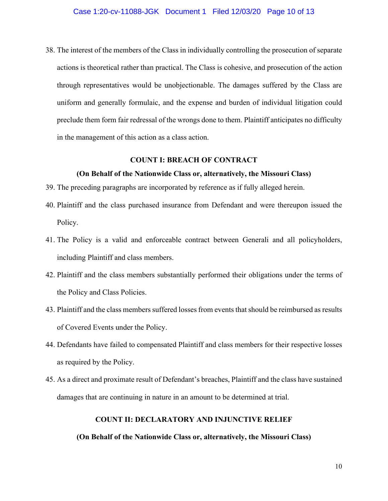38. The interest of the members of the Class in individually controlling the prosecution of separate actions is theoretical rather than practical. The Class is cohesive, and prosecution of the action through representatives would be unobjectionable. The damages suffered by the Class are uniform and generally formulaic, and the expense and burden of individual litigation could preclude them form fair redressal of the wrongs done to them. Plaintiff anticipates no difficulty in the management of this action as a class action.

# **COUNT I: BREACH OF CONTRACT**

## **(On Behalf of the Nationwide Class or, alternatively, the Missouri Class)**

- 39. The preceding paragraphs are incorporated by reference as if fully alleged herein.
- 40. Plaintiff and the class purchased insurance from Defendant and were thereupon issued the Policy.
- 41. The Policy is a valid and enforceable contract between Generali and all policyholders, including Plaintiff and class members.
- 42. Plaintiff and the class members substantially performed their obligations under the terms of the Policy and Class Policies.
- 43. Plaintiff and the class members suffered losses from events that should be reimbursed as results of Covered Events under the Policy.
- 44. Defendants have failed to compensated Plaintiff and class members for their respective losses as required by the Policy.
- 45. As a direct and proximate result of Defendant's breaches, Plaintiff and the class have sustained damages that are continuing in nature in an amount to be determined at trial.

#### **COUNT II: DECLARATORY AND INJUNCTIVE RELIEF**

## **(On Behalf of the Nationwide Class or, alternatively, the Missouri Class)**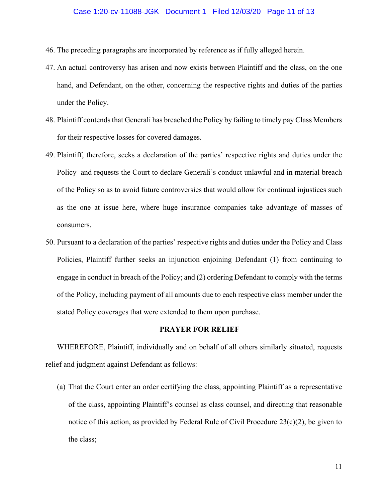### Case 1:20-cv-11088-JGK Document 1 Filed 12/03/20 Page 11 of 13

- 46. The preceding paragraphs are incorporated by reference as if fully alleged herein.
- 47. An actual controversy has arisen and now exists between Plaintiff and the class, on the one hand, and Defendant, on the other, concerning the respective rights and duties of the parties under the Policy.
- 48. Plaintiff contends that Generali has breached the Policy by failing to timely pay Class Members for their respective losses for covered damages.
- 49. Plaintiff, therefore, seeks a declaration of the parties' respective rights and duties under the Policy and requests the Court to declare Generali's conduct unlawful and in material breach of the Policy so as to avoid future controversies that would allow for continual injustices such as the one at issue here, where huge insurance companies take advantage of masses of consumers.
- 50. Pursuant to a declaration of the parties' respective rights and duties under the Policy and Class Policies, Plaintiff further seeks an injunction enjoining Defendant (1) from continuing to engage in conduct in breach of the Policy; and (2) ordering Defendant to comply with the terms of the Policy, including payment of all amounts due to each respective class member under the stated Policy coverages that were extended to them upon purchase.

#### **PRAYER FOR RELIEF**

WHEREFORE, Plaintiff, individually and on behalf of all others similarly situated, requests relief and judgment against Defendant as follows:

(a) That the Court enter an order certifying the class, appointing Plaintiff as a representative of the class, appointing Plaintiff's counsel as class counsel, and directing that reasonable notice of this action, as provided by Federal Rule of Civil Procedure 23(c)(2), be given to the class;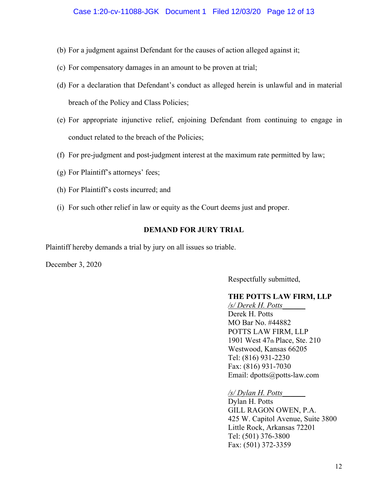- (b) For a judgment against Defendant for the causes of action alleged against it;
- (c) For compensatory damages in an amount to be proven at trial;
- (d) For a declaration that Defendant's conduct as alleged herein is unlawful and in material breach of the Policy and Class Policies;
- (e) For appropriate injunctive relief, enjoining Defendant from continuing to engage in conduct related to the breach of the Policies;
- (f) For pre-judgment and post-judgment interest at the maximum rate permitted by law;
- (g) For Plaintiff's attorneys' fees;
- (h) For Plaintiff's costs incurred; and
- (i) For such other relief in law or equity as the Court deems just and proper.

# **DEMAND FOR JURY TRIAL**

Plaintiff hereby demands a trial by jury on all issues so triable.

December 3, 2020

Respectfully submitted,

# **THE POTTS LAW FIRM, LLP**

*/s/ Derek H. Potts\_\_\_\_\_\_* Derek H. Potts MO Bar No. #44882 POTTS LAW FIRM, LLP 1901 West 47th Place, Ste. 210 Westwood, Kansas 66205 Tel: (816) 931-2230 Fax: (816) 931-7030 Email: dpotts@potts-law.com

*/s/ Dylan H. Potts\_\_\_\_\_\_*

Dylan H. Potts GILL RAGON OWEN, P.A. 425 W. Capitol Avenue, Suite 3800 Little Rock, Arkansas 72201 Tel: (501) 376-3800 Fax: (501) 372-3359